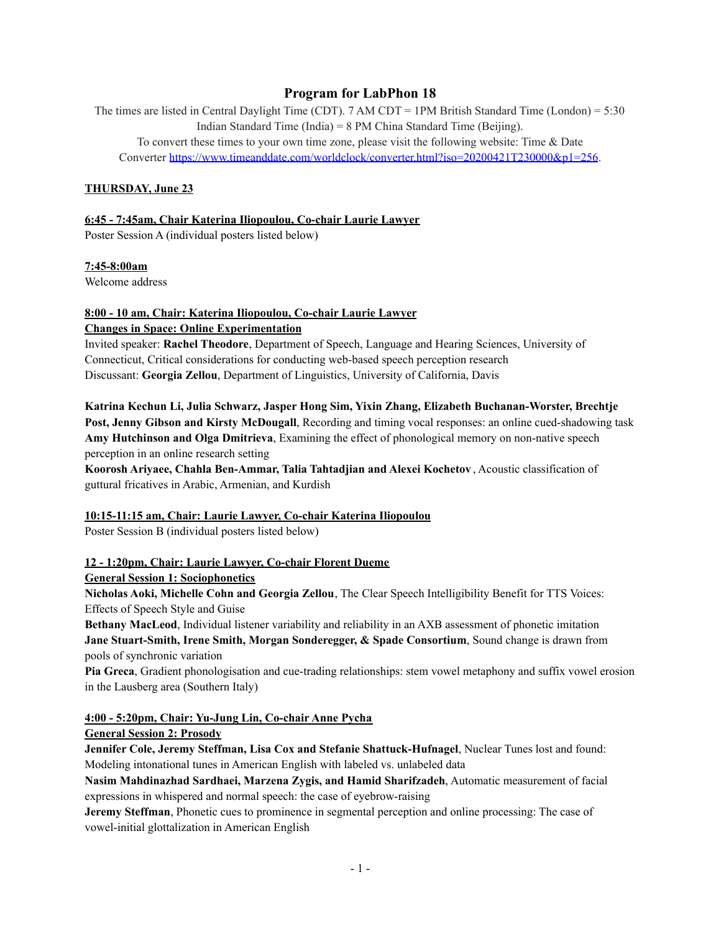# **Program for LabPhon 18**

The times are listed in Central Daylight Time (CDT). 7 AM CDT = 1PM British Standard Time (London) = 5:30 Indian Standard Time (India) = 8 PM China Standard Time (Beijing).

To convert these times to your own time zone, please visit the following website: Time & Date Converter <https://www.timeanddate.com/worldclock/converter.html?iso=20200421T230000&p1=256>.

### **THURSDAY, June 23**

### **6:45 - 7:45am, Chair Katerina Iliopoulou, Co-chair Laurie Lawyer**

Poster Session A (individual posters listed below)

#### **7:45-8:00am**

Welcome address

# **8:00 - 10 am, Chair: Katerina Iliopoulou, Co-chair Laurie Lawyer**

**Changes in Space: Online Experimentation**

Invited speaker: **Rachel Theodore**, [Department](https://slhs.uconn.edu/) of Speech, Language and Hearing Sciences, University of Connecticut, Critical considerations for conducting web-based speech perception research Discussant: **Georgia Zellou**, Department of Linguistics, University of California, Davis

**Katrina Kechun Li, Julia Schwarz, Jasper Hong Sim, Yixin Zhang, Elizabeth Buchanan-Worster, Brechtje Post, Jenny Gibson and Kirsty McDougall**, Recording and timing vocal responses: an online cued-shadowing task **Amy Hutchinson and Olga Dmitrieva**, Examining the effect of phonological memory on non-native speech perception in an online research setting

**Koorosh Ariyaee, Chahla Ben-Ammar, Talia Tahtadjian and Alexei Kochetov** , Acoustic classification of guttural fricatives in Arabic, Armenian, and Kurdish

#### **10:15-11:15 am, Chair: Laurie Lawyer, Co-chair Katerina Iliopoulou**

Poster Session B (individual posters listed below)

# **12 - 1:20pm, Chair: Laurie Lawyer, Co-chair Florent Dueme**

#### **General Session 1: Sociophonetics**

**Nicholas Aoki, Michelle Cohn and Georgia Zellou**, The Clear Speech Intelligibility Benefit for TTS Voices: Effects of Speech Style and Guise

**Bethany MacLeod**, Individual listener variability and reliability in an AXB assessment of phonetic imitation **Jane Stuart-Smith, Irene Smith, Morgan Sonderegger, & Spade Consortium**, Sound change is drawn from pools of synchronic variation

**Pia Greca**, Gradient phonologisation and cue-trading relationships: stem vowel metaphony and suffix vowel erosion in the Lausberg area (Southern Italy)

#### **4:00 - 5:20pm, Chair: Yu-Jung Lin, Co-chair Anne Pycha**

#### **General Session 2: Prosody**

**Jennifer Cole, Jeremy Steffman, Lisa Cox and Stefanie Shattuck-Hufnagel**, Nuclear Tunes lost and found: Modeling intonational tunes in American English with labeled vs. unlabeled data

**Nasim Mahdinazhad Sardhaei, Marzena Zygis, and Hamid Sharifzadeh**, Automatic measurement of facial expressions in whispered and normal speech: the case of eyebrow-raising

**Jeremy Steffman**, Phonetic cues to prominence in segmental perception and online processing: The case of vowel-initial glottalization in American English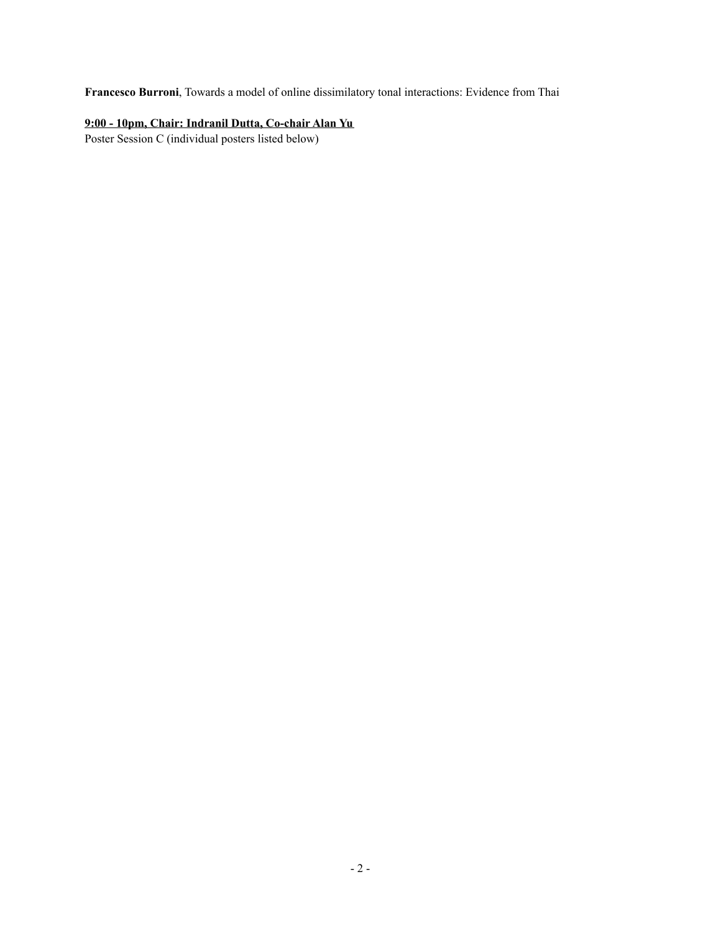**Francesco Burroni**, Towards a model of online dissimilatory tonal interactions: Evidence from Thai

# **9:00 - 10pm, Chair: Indranil Dutta, Co-chair Alan Yu**

Poster Session C (individual posters listed below)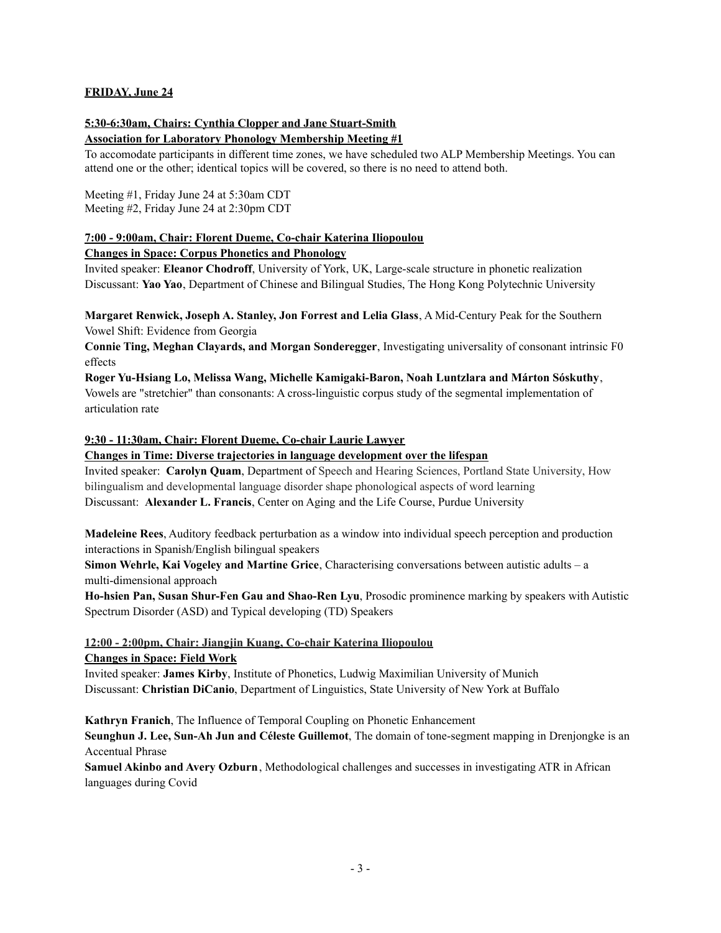# **FRIDAY, June 24**

#### **5:30-6:30am, Chairs: Cynthia Clopper and Jane Stuart-Smith Association for Laboratory Phonology Membership Meeting #1**

To accomodate participants in different time zones, we have scheduled two ALP Membership Meetings. You can attend one or the other; identical topics will be covered, so there is no need to attend both.

Meeting #1, Friday June 24 at 5:30am CDT Meeting #2, Friday June 24 at 2:30pm CDT

# **7:00 - 9:00am, Chair: Florent Dueme, Co-chair Katerina Iliopoulou**

# **Changes in Space: Corpus Phonetics and Phonology**

Invited speaker: **Eleanor Chodroff**, University of York, UK, Large-scale structure in phonetic realization Discussant: **Yao Yao**, Department of Chinese and Bilingual Studies, The Hong Kong Polytechnic University

**Margaret Renwick, Joseph A. Stanley, Jon Forrest and Lelia Glass**, A Mid-Century Peak for the Southern Vowel Shift: Evidence from Georgia

**Connie Ting, Meghan Clayards, and Morgan Sonderegger**, Investigating universality of consonant intrinsic F0 effects

**Roger Yu-Hsiang Lo, Melissa Wang, Michelle Kamigaki-Baron, Noah Luntzlara and Márton Sóskuthy**, Vowels are "stretchier" than consonants: A cross-linguistic corpus study of the segmental implementation of articulation rate

# **9:30 - 11:30am, Chair: Florent Dueme, Co-chair Laurie Lawyer**

# **Changes in Time: Diverse trajectories in language development over the lifespan**

Invited speaker: **Carolyn Quam**, Department of Speech and Hearing Sciences, Portland State University, How bilingualism and developmental language disorder shape phonological aspects of word learning Discussant: **Alexander L. Francis**, Center on Aging and the Life Course, Purdue University

**Madeleine Rees**, Auditory feedback perturbation as a window into individual speech perception and production interactions in Spanish/English bilingual speakers

**Simon Wehrle, Kai Vogeley and Martine Grice**, Characterising conversations between autistic adults – a multi-dimensional approach

**Ho-hsien Pan, Susan Shur-Fen Gau and Shao-Ren Lyu**, Prosodic prominence marking by speakers with Autistic Spectrum Disorder (ASD) and Typical developing (TD) Speakers

#### **12:00 - 2:00pm, Chair: Jiangjin Kuang, Co-chair Katerina Iliopoulou Changes in Space: Field Work**

Invited speaker: **James Kirby**, Institute of Phonetics, Ludwig Maximilian University of Munich Discussant: **Christian DiCanio**, Department of Linguistics, State University of New York at Buffalo

**Kathryn Franich**, The Influence of Temporal Coupling on Phonetic Enhancement

**Seunghun J. Lee, Sun-Ah Jun and Céleste Guillemot**, The domain of tone-segment mapping in Drenjongke is an Accentual Phrase

**Samuel Akinbo and Avery Ozburn**, Methodological challenges and successes in investigating ATR in African languages during Covid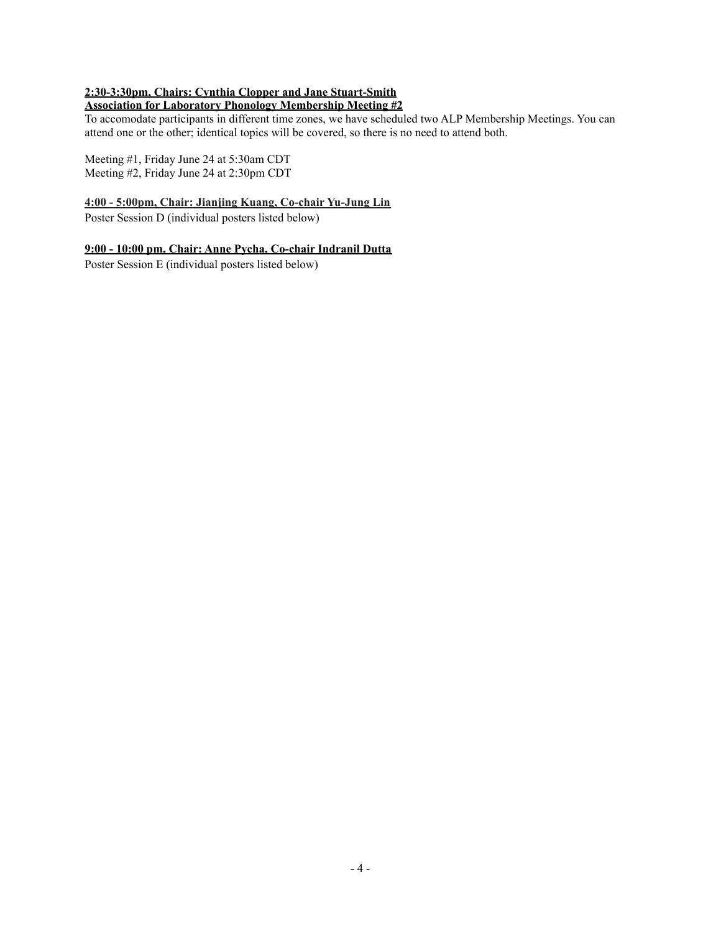# **2:30-3:30pm, Chairs: Cynthia Clopper and Jane Stuart-Smith**

# **Association for Laboratory Phonology Membership Meeting #2**

To accomodate participants in different time zones, we have scheduled two ALP Membership Meetings. You can attend one or the other; identical topics will be covered, so there is no need to attend both.

Meeting #1, Friday June 24 at 5:30am CDT Meeting #2, Friday June 24 at 2:30pm CDT

#### **4:00 - 5:00pm, Chair: Jianjing Kuang, Co-chair Yu-Jung Lin**

Poster Session D (individual posters listed below)

#### **9:00 - 10:00 pm, Chair: Anne Pycha, Co-chair Indranil Dutta**

Poster Session E (individual posters listed below)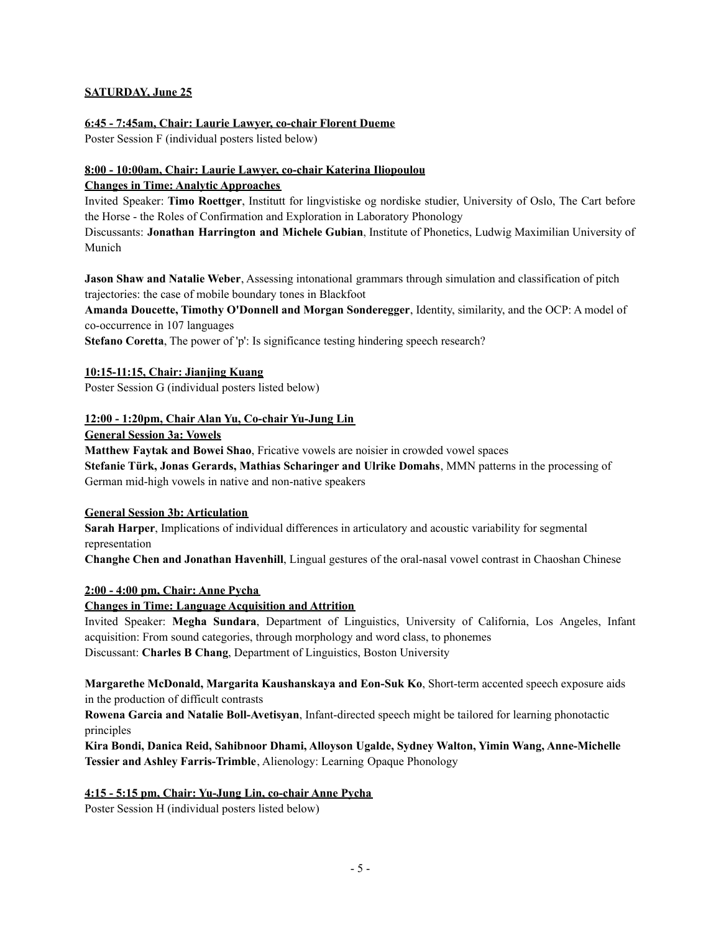# **SATURDAY, June 25**

#### **6:45 - 7:45am, Chair: Laurie Lawyer, co-chair Florent Dueme**

Poster Session F (individual posters listed below)

# **8:00 - 10:00am, Chair: Laurie Lawyer, co-chair Katerina Iliopoulou Changes in Time: Analytic Approaches**

Invited Speaker: **Timo Roettger**, Institutt for lingvistiske og nordiske studier, University of Oslo, The Cart before the Horse - the Roles of Confirmation and Exploration in Laboratory Phonology

Discussants: **Jonathan Harrington and Michele Gubian**, Institute of Phonetics, Ludwig Maximilian University of Munich

**Jason Shaw and Natalie Weber**, Assessing intonational grammars through simulation and classification of pitch trajectories: the case of mobile boundary tones in Blackfoot

**Amanda Doucette, Timothy O'Donnell and Morgan Sonderegger**, Identity, similarity, and the OCP: A model of co-occurrence in 107 languages

**Stefano Coretta**, The power of 'p': Is significance testing hindering speech research?

# **10:15-11:15, Chair: Jianjing Kuang**

Poster Session G (individual posters listed below)

# **12:00 - 1:20pm, Chair Alan Yu, Co-chair Yu-Jung Lin**

**General Session 3a: Vowels**

**Matthew Faytak and Bowei Shao**, Fricative vowels are noisier in crowded vowel spaces

**Stefanie Türk, Jonas Gerards, Mathias Scharinger and Ulrike Domahs**, MMN patterns in the processing of German mid-high vowels in native and non-native speakers

## **General Session 3b: Articulation**

**Sarah Harper**, Implications of individual differences in articulatory and acoustic variability for segmental representation

**Changhe Chen and Jonathan Havenhill**, Lingual gestures of the oral-nasal vowel contrast in Chaoshan Chinese

#### **2:00 - 4:00 pm, Chair: Anne Pycha**

# **Changes in Time: Language Acquisition and Attrition**

Invited Speaker: **Megha Sundara**, Department of Linguistics, University of California, Los Angeles, Infant acquisition: From sound categories, through morphology and word class, to phonemes Discussant: **Charles B Chang**, Department of Linguistics, Boston University

**Margarethe McDonald, Margarita Kaushanskaya and Eon-Suk Ko**, Short-term accented speech exposure aids in the production of difficult contrasts

**Rowena Garcia and Natalie Boll-Avetisyan**, Infant-directed speech might be tailored for learning phonotactic principles

**Kira Bondi, Danica Reid, Sahibnoor Dhami, Alloyson Ugalde, Sydney Walton, Yimin Wang, Anne-Michelle Tessier and Ashley Farris-Trimble**, Alienology: Learning Opaque Phonology

# **4:15 - 5:15 pm, Chair: Yu-Jung Lin, co-chair Anne Pycha**

Poster Session H (individual posters listed below)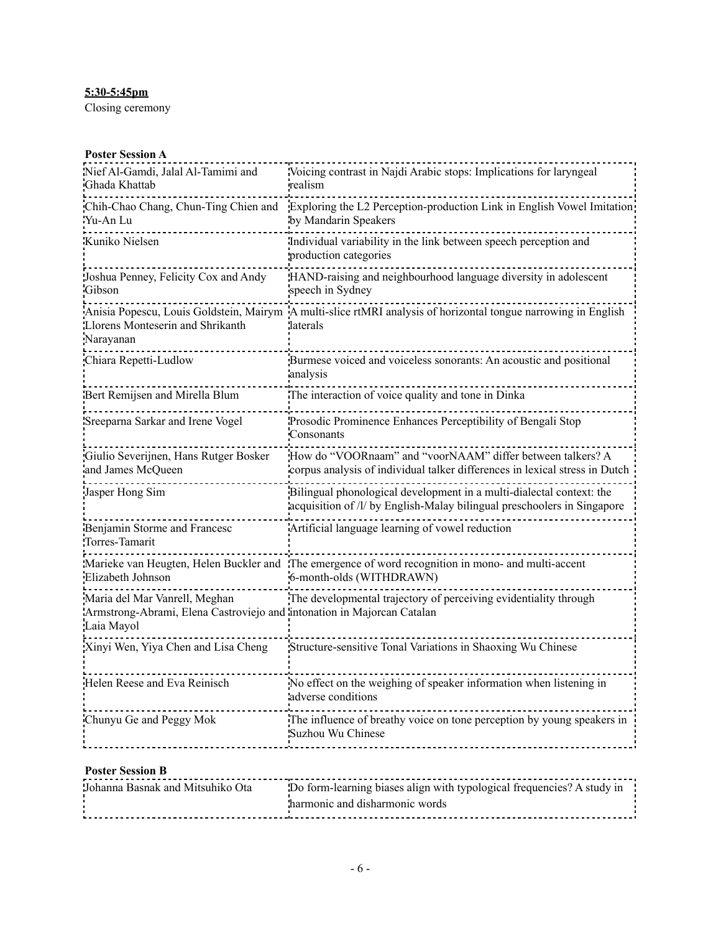# **5:30-5:45pm**

Closing ceremony

### **Poster Session A**

| Nief Al-Gamdi, Jalal Al-Tamimi and<br>Ghada Khattab                                                                   | Voicing contrast in Najdi Arabic stops: Implications for laryngeal<br>realism                                                                   |
|-----------------------------------------------------------------------------------------------------------------------|-------------------------------------------------------------------------------------------------------------------------------------------------|
| Chih-Chao Chang, Chun-Ting Chien and<br>Yu-An Lu                                                                      | Exploring the L2 Perception-production Link in English Vowel Imitation<br>by Mandarin Speakers                                                  |
| Kuniko Nielsen                                                                                                        | Individual variability in the link between speech perception and<br>production categories                                                       |
| Joshua Penney, Felicity Cox and Andy<br>Gibson                                                                        | HAND-raising and neighbourhood language diversity in adolescent<br>speech in Sydney                                                             |
| Llorens Monteserin and Shrikanth<br>Narayanan                                                                         | Anisia Popescu, Louis Goldstein, Mairym A multi-slice rtMRI analysis of horizontal tongue narrowing in English<br>laterals                      |
| Chiara Repetti-Ludlow                                                                                                 | Burmese voiced and voiceless sonorants: An acoustic and positional<br>analysis                                                                  |
| Bert Remijsen and Mirella Blum                                                                                        | The interaction of voice quality and tone in Dinka                                                                                              |
| Sreeparna Sarkar and Irene Vogel                                                                                      | Prosodic Prominence Enhances Perceptibility of Bengali Stop<br>Consonants                                                                       |
| Giulio Severijnen, Hans Rutger Bosker<br>and James McQueen                                                            | How do "VOORnaam" and "voorNAAM" differ between talkers? A<br>corpus analysis of individual talker differences in lexical stress in Dutch       |
| Jasper Hong Sim                                                                                                       | Bilingual phonological development in a multi-dialectal context: the<br>acquisition of /l/ by English-Malay bilingual preschoolers in Singapore |
| Benjamin Storme and Francesc<br>Torres-Tamarit                                                                        | Artificial language learning of vowel reduction                                                                                                 |
| Elizabeth Johnson                                                                                                     | Marieke van Heugten, Helen Buckler and The emergence of word recognition in mono- and multi-accent<br>6-month-olds (WITHDRAWN)                  |
| Maria del Mar Vanrell, Meghan<br>Armstrong-Abrami, Elena Castroviejo and intonation in Majorcan Catalan<br>Laia Mayol | The developmental trajectory of perceiving evidentiality through                                                                                |
| Xinyi Wen, Yiya Chen and Lisa Cheng                                                                                   | Structure-sensitive Tonal Variations in Shaoxing Wu Chinese                                                                                     |
| Helen Reese and Eva Reinisch                                                                                          | No effect on the weighing of speaker information when listening in<br>adverse conditions                                                        |
| Chunyu Ge and Peggy Mok                                                                                               | The influence of breathy voice on tone perception by young speakers in<br>Suzhou Wu Chinese                                                     |

# **Poster Session B**

|  | Johanna Basnak and Mitsuhiko Ota | Do form-learning biases align with typological frequencies? A study in<br>harmonic and disharmonic words |
|--|----------------------------------|----------------------------------------------------------------------------------------------------------|
|--|----------------------------------|----------------------------------------------------------------------------------------------------------|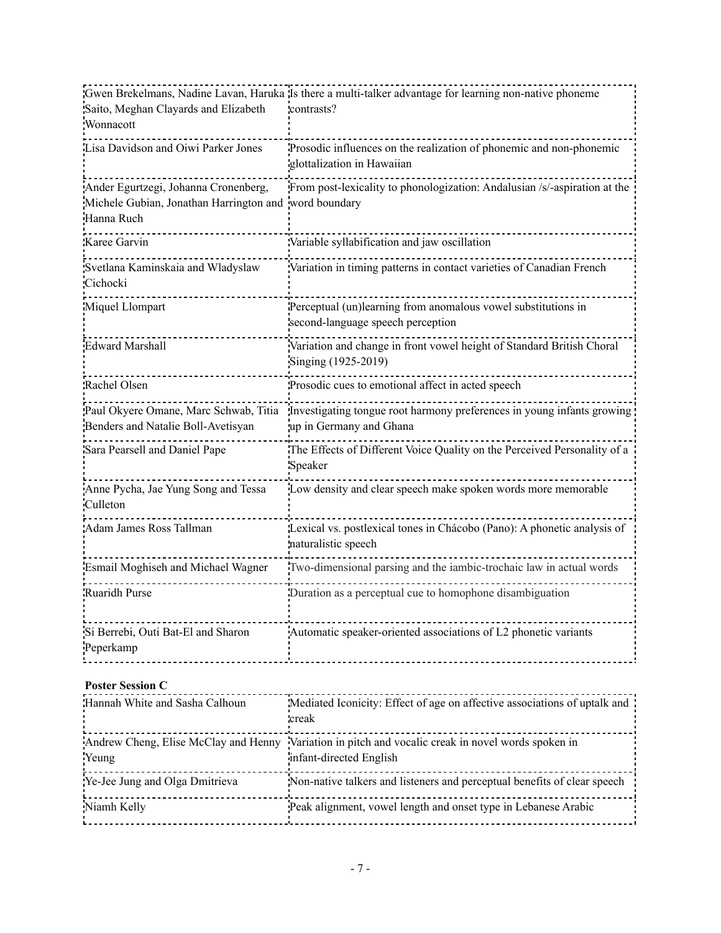|                                                                             | Gwen Brekelmans, Nadine Lavan, Haruka Is there a multi-talker advantage for learning non-native phoneme                       |
|-----------------------------------------------------------------------------|-------------------------------------------------------------------------------------------------------------------------------|
| Saito, Meghan Clayards and Elizabeth                                        | contrasts?                                                                                                                    |
| Wonnacott                                                                   |                                                                                                                               |
| Lisa Davidson and Oiwi Parker Jones                                         | Prosodic influences on the realization of phonemic and non-phonemic<br>glottalization in Hawaiian                             |
| Ander Egurtzegi, Johanna Cronenberg,                                        | From post-lexicality to phonologization: Andalusian /s/-aspiration at the                                                     |
| Michele Gubian, Jonathan Harrington and word boundary                       |                                                                                                                               |
| Hanna Ruch                                                                  |                                                                                                                               |
| Karee Garvin                                                                | Variable syllabification and jaw oscillation                                                                                  |
| Svetlana Kaminskaia and Wladyslaw<br>Cichocki                               | Variation in timing patterns in contact varieties of Canadian French                                                          |
| Miquel Llompart                                                             | Perceptual (un)learning from anomalous vowel substitutions in<br>second-language speech perception                            |
| <b>Edward Marshall</b>                                                      | Variation and change in front vowel height of Standard British Choral<br>Singing (1925-2019)                                  |
| Rachel Olsen                                                                | Prosodic cues to emotional affect in acted speech                                                                             |
| Paul Okyere Omane, Marc Schwab, Titia<br>Benders and Natalie Boll-Avetisyan | Investigating tongue root harmony preferences in young infants growing<br>up in Germany and Ghana                             |
| Sara Pearsell and Daniel Pape                                               | The Effects of Different Voice Quality on the Perceived Personality of a<br>Speaker                                           |
| Anne Pycha, Jae Yung Song and Tessa<br>Culleton                             | Low density and clear speech make spoken words more memorable                                                                 |
| Adam James Ross Tallman                                                     | Lexical vs. postlexical tones in Chácobo (Pano): A phonetic analysis of<br>naturalistic speech                                |
| Esmail Moghiseh and Michael Wagner                                          | Two-dimensional parsing and the iambic-trochaic law in actual words                                                           |
| Ruaridh Purse                                                               | Duration as a perceptual cue to homophone disambiguation                                                                      |
| Si Berrebi, Outi Bat-El and Sharon<br>Peperkamp                             | Automatic speaker-oriented associations of L2 phonetic variants                                                               |
| <b>Poster Session C</b>                                                     |                                                                                                                               |
| Hannah White and Sasha Calhoun                                              | Mediated Iconicity: Effect of age on affective associations of uptalk and<br>creak                                            |
| Yeung                                                                       | Andrew Cheng, Elise McClay and Henny Variation in pitch and vocalic creak in novel words spoken in<br>infant-directed English |
| Ye-Jee Jung and Olga Dmitrieva                                              | Non-native talkers and listeners and perceptual benefits of clear speech                                                      |
| Niamh Kelly                                                                 | Peak alignment, vowel length and onset type in Lebanese Arabic                                                                |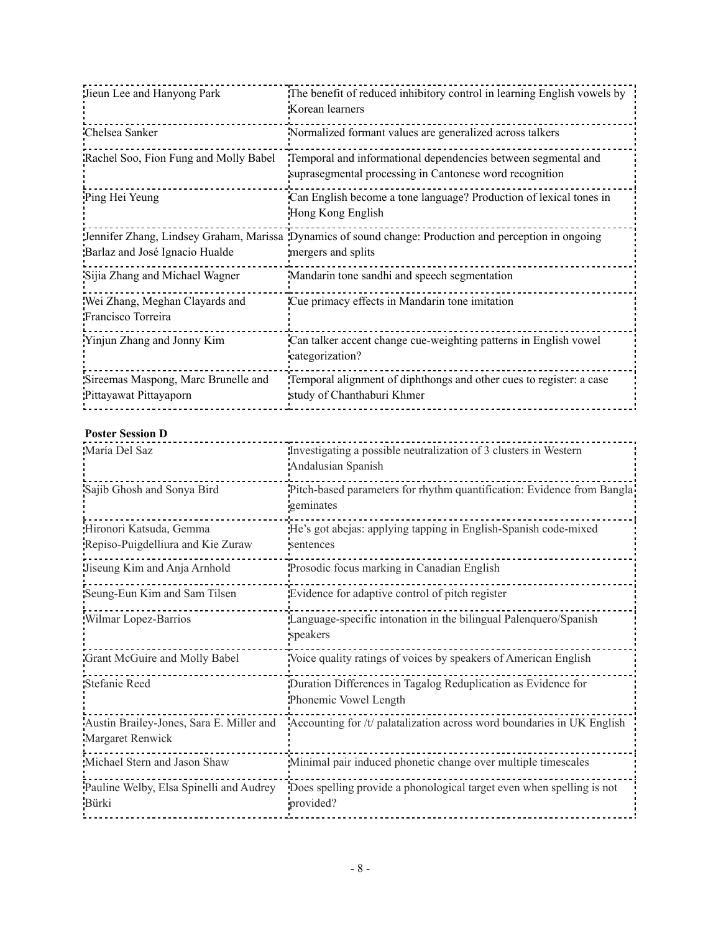| Jieun Lee and Hanyong Park                                    | The benefit of reduced inhibitory control in learning English vowels by<br>Korean learners                                   |
|---------------------------------------------------------------|------------------------------------------------------------------------------------------------------------------------------|
| Chelsea Sanker                                                | Normalized formant values are generalized across talkers                                                                     |
| Rachel Soo, Fion Fung and Molly Babel                         | Temporal and informational dependencies between segmental and<br>suprasegmental processing in Cantonese word recognition     |
| Ping Hei Yeung                                                | Can English become a tone language? Production of lexical tones in<br>Hong Kong English                                      |
| Barlaz and José Ignacio Hualde                                | Jennifer Zhang, Lindsey Graham, Marissa Dynamics of sound change: Production and perception in ongoing<br>mergers and splits |
| Sijia Zhang and Michael Wagner                                | Mandarin tone sandhi and speech segmentation                                                                                 |
| Wei Zhang, Meghan Clayards and<br>Francisco Torreira          | Cue primacy effects in Mandarin tone imitation                                                                               |
| Yinjun Zhang and Jonny Kim                                    | Can talker accent change cue-weighting patterns in English vowel<br>categorization?                                          |
| Sireemas Maspong, Marc Brunelle and<br>Pittayawat Pittayaporn | Temporal alignment of diphthongs and other cues to register: a case<br>study of Chanthaburi Khmer                            |

# **Poster Session D**

| María Del Saz                                                | Investigating a possible neutralization of 3 clusters in Western<br>Andalusian Spanish |
|--------------------------------------------------------------|----------------------------------------------------------------------------------------|
| Sajib Ghosh and Sonya Bird                                   | Pitch-based parameters for rhythm quantification: Evidence from Bangla<br>geminates    |
| Hironori Katsuda, Gemma<br>Repiso-Puigdelliura and Kie Zuraw | He's got abejas: applying tapping in English-Spanish code-mixed<br>sentences           |
| Jiseung Kim and Anja Arnhold                                 | Prosodic focus marking in Canadian English                                             |
| Seung-Eun Kim and Sam Tilsen                                 | Evidence for adaptive control of pitch register                                        |
| Wilmar Lopez-Barrios                                         | Language-specific intonation in the bilingual Palenquero/Spanish<br>speakers           |
| Grant McGuire and Molly Babel                                | Voice quality ratings of voices by speakers of American English                        |
| <b>Stefanie Reed</b>                                         | Duration Differences in Tagalog Reduplication as Evidence for<br>Phonemic Vowel Length |
| Austin Brailey-Jones, Sara E. Miller and<br>Margaret Renwick | Accounting for /t/ palatalization across word boundaries in UK English                 |
| Michael Stern and Jason Shaw                                 | Minimal pair induced phonetic change over multiple timescales                          |
| Pauline Welby, Elsa Spinelli and Audrey<br>Bürki             | Does spelling provide a phonological target even when spelling is not<br>provided?     |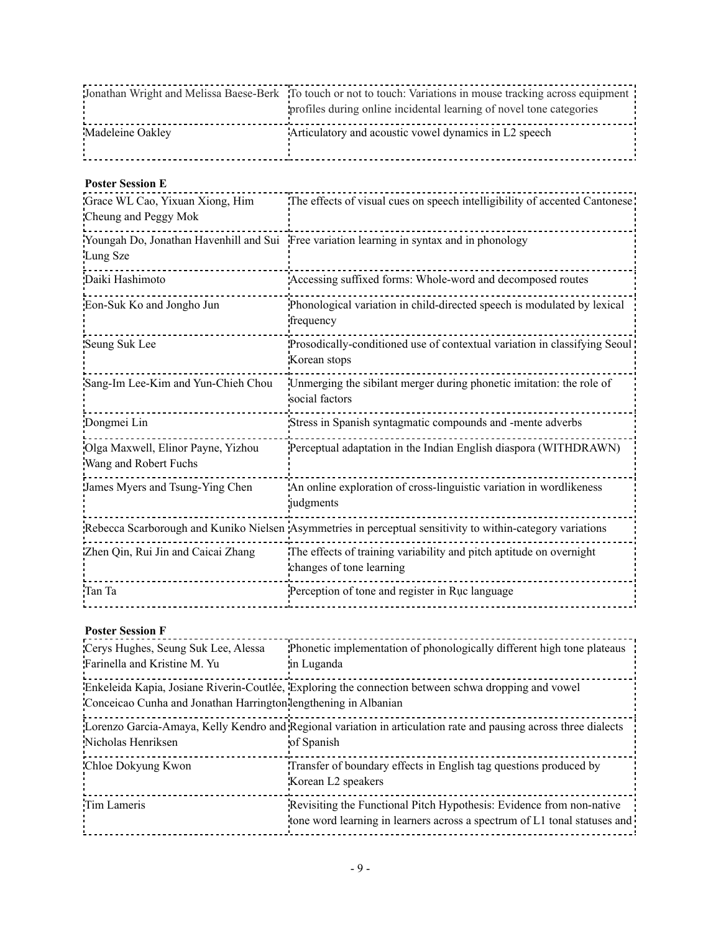|                  | Jonathan Wright and Melissa Baese-Berk To touch or not to touch: Variations in mouse tracking across equipment<br>profiles during online incidental learning of novel tone categories |
|------------------|---------------------------------------------------------------------------------------------------------------------------------------------------------------------------------------|
| Madeleine Oakley | Articulatory and acoustic vowel dynamics in L2 speech                                                                                                                                 |

#### **Poster Session E**

| Grace WL Cao, Yixuan Xiong, Him<br>Cheung and Peggy Mok     | The effects of visual cues on speech intelligibility of accented Cantonese                                 |
|-------------------------------------------------------------|------------------------------------------------------------------------------------------------------------|
| Lung Sze                                                    | Youngah Do, Jonathan Havenhill and Sui Free variation learning in syntax and in phonology                  |
| Daiki Hashimoto                                             | Accessing suffixed forms: Whole-word and decomposed routes                                                 |
| Eon-Suk Ko and Jongho Jun                                   | Phonological variation in child-directed speech is modulated by lexical<br>frequency                       |
| Seung Suk Lee                                               | Prosodically-conditioned use of contextual variation in classifying Seoul<br>Korean stops                  |
| Sang-Im Lee-Kim and Yun-Chieh Chou                          | Unmerging the sibilant merger during phonetic imitation: the role of<br>social factors                     |
| Dongmei Lin                                                 | Stress in Spanish syntagmatic compounds and -mente adverbs                                                 |
| Olga Maxwell, Elinor Payne, Yizhou<br>Wang and Robert Fuchs | Perceptual adaptation in the Indian English diaspora (WITHDRAWN)                                           |
| James Myers and Tsung-Ying Chen                             | An online exploration of cross-linguistic variation in wordlikeness<br>judgments                           |
|                                                             | Rebecca Scarborough and Kuniko Nielsen Asymmetries in perceptual sensitivity to within-category variations |
| Zhen Qin, Rui Jin and Caicai Zhang                          | The effects of training variability and pitch aptitude on overnight<br>changes of tone learning            |
| Tan Ta                                                      | Perception of tone and register in Ruc language                                                            |

# **Poster Session F**

| Cerys Hughes, Seung Suk Lee, Alessa<br>Farinella and Kristine M. Yu | Phonetic implementation of phonologically different high tone plateaus<br>in Luganda                                                              |
|---------------------------------------------------------------------|---------------------------------------------------------------------------------------------------------------------------------------------------|
| Conceicao Cunha and Jonathan Harrington lengthening in Albanian     | Enkeleida Kapia, Josiane Riverin-Coutlée, Exploring the connection between schwa dropping and vowel                                               |
| Nicholas Henriksen                                                  | Lorenzo Garcia-Amaya, Kelly Kendro and Regional variation in articulation rate and pausing across three dialects<br>of Spanish                    |
| Chloe Dokyung Kwon                                                  | Transfer of boundary effects in English tag questions produced by<br>Korean L2 speakers                                                           |
| Tim Lameris                                                         | Revisiting the Functional Pitch Hypothesis: Evidence from non-native<br>tone word learning in learners across a spectrum of L1 tonal statuses and |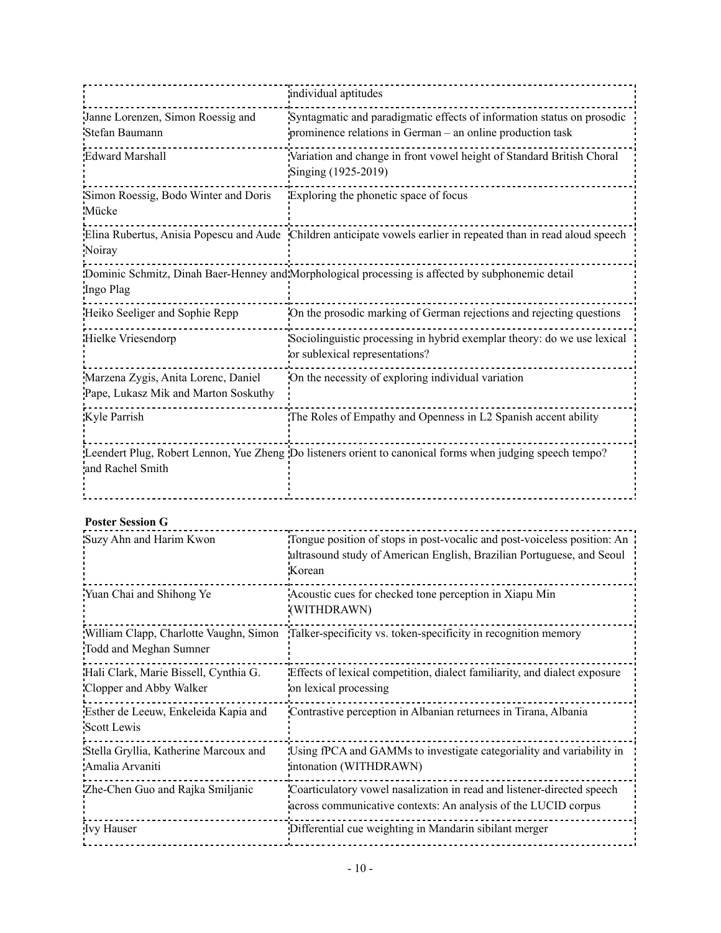|                                                                             | individual aptitudes                                                                                                                 |
|-----------------------------------------------------------------------------|--------------------------------------------------------------------------------------------------------------------------------------|
| Janne Lorenzen, Simon Roessig and<br>Stefan Baumann                         | Syntagmatic and paradigmatic effects of information status on prosodic<br>prominence relations in German – an online production task |
| <b>Edward Marshall</b>                                                      | Variation and change in front vowel height of Standard British Choral<br>Singing (1925-2019)                                         |
| Simon Roessig, Bodo Winter and Doris<br>Mücke                               | Exploring the phonetic space of focus                                                                                                |
| Noiray                                                                      | Elina Rubertus, Anisia Popescu and Aude Children anticipate vowels earlier in repeated than in read aloud speech                     |
| Ingo Plag                                                                   | Dominic Schmitz, Dinah Baer-Henney and Morphological processing is affected by subphonemic detail                                    |
| Heiko Seeliger and Sophie Repp                                              | On the prosodic marking of German rejections and rejecting questions                                                                 |
| Hielke Vriesendorp                                                          | Sociolinguistic processing in hybrid exemplar theory: do we use lexical<br>or sublexical representations?                            |
| Marzena Zygis, Anita Lorenc, Daniel<br>Pape, Lukasz Mik and Marton Soskuthy | On the necessity of exploring individual variation                                                                                   |
| Kyle Parrish                                                                | The Roles of Empathy and Openness in L2 Spanish accent ability                                                                       |
| and Rachel Smith                                                            | Leendert Plug, Robert Lennon, Yue Zheng Do listeners orient to canonical forms when judging speech tempo?                            |

# **Poster Session G**

| Suzy Ahn and Harim Kwon                                          | Tongue position of stops in post-vocalic and post-voiceless position: An<br>lultrasound study of American English, Brazilian Portuguese, and Seoul<br>Korean |
|------------------------------------------------------------------|--------------------------------------------------------------------------------------------------------------------------------------------------------------|
| Yuan Chai and Shihong Ye                                         | Acoustic cues for checked tone perception in Xiapu Min<br>(WITHDRAWN)                                                                                        |
| Todd and Meghan Sumner                                           | William Clapp, Charlotte Vaughn, Simon Talker-specificity vs. token-specificity in recognition memory                                                        |
| Hali Clark, Marie Bissell, Cynthia G.<br>Clopper and Abby Walker | Effects of lexical competition, dialect familiarity, and dialect exposure<br>on lexical processing                                                           |
| Esther de Leeuw, Enkeleida Kapia and<br>Scott Lewis              | Contrastive perception in Albanian returnees in Tirana, Albania                                                                                              |
| Stella Gryllia, Katherine Marcoux and<br>Amalia Arvaniti         | Using fPCA and GAMMs to investigate categoriality and variability in<br>intonation (WITHDRAWN)                                                               |
| Zhe-Chen Guo and Rajka Smiljanic                                 | Coarticulatory vowel nasalization in read and listener-directed speech<br>across communicative contexts: An analysis of the LUCID corpus                     |
| <b>Ivy Hauser</b>                                                | Differential cue weighting in Mandarin sibilant merger                                                                                                       |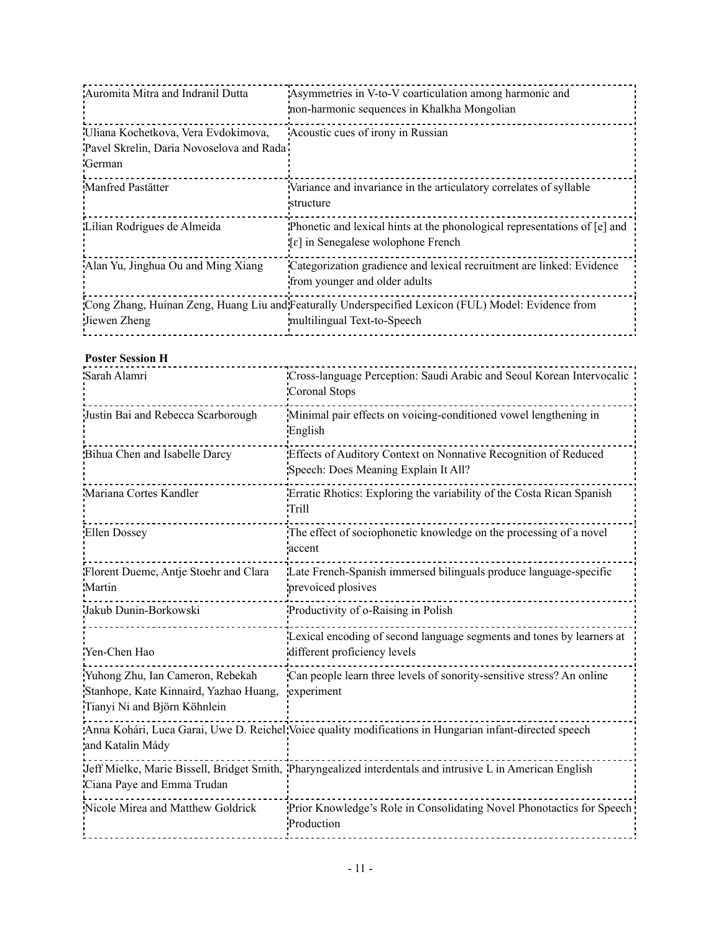| Asymmetries in V-to-V coarticulation among harmonic and<br>non-harmonic sequences in Khalkha Mongolian                                  |
|-----------------------------------------------------------------------------------------------------------------------------------------|
| Acoustic cues of irony in Russian                                                                                                       |
| Pavel Skrelin, Daria Novoselova and Rada                                                                                                |
|                                                                                                                                         |
| Variance and invariance in the articulatory correlates of syllable<br>structure                                                         |
| Phonetic and lexical hints at the phonological representations of [e] and<br>$\lceil \varepsilon \rceil$ in Senegalese wolophone French |
| Categorization gradience and lexical recruitment are linked: Evidence<br>from younger and older adults                                  |
| Cong Zhang, Huinan Zeng, Huang Liu and Featurally Underspecified Lexicon (FUL) Model: Evidence from<br>multilingual Text-to-Speech      |
|                                                                                                                                         |

#### **Poster Session H**

| Sarah Alamri                                                                                               | Cross-language Perception: Saudi Arabic and Seoul Korean Intervocalic<br>Coronal Stops                     |
|------------------------------------------------------------------------------------------------------------|------------------------------------------------------------------------------------------------------------|
| Justin Bai and Rebecca Scarborough                                                                         | Minimal pair effects on voicing-conditioned vowel lengthening in<br>English                                |
| Bihua Chen and Isabelle Darcy                                                                              | Effects of Auditory Context on Nonnative Recognition of Reduced<br>Speech: Does Meaning Explain It All?    |
| Mariana Cortes Kandler                                                                                     | Erratic Rhotics: Exploring the variability of the Costa Rican Spanish<br>Trill                             |
| Ellen Dossey                                                                                               | The effect of sociophonetic knowledge on the processing of a novel<br>accent                               |
| Florent Dueme, Antje Stoehr and Clara<br>Martin                                                            | Late French-Spanish immersed bilinguals produce language-specific<br>prevoiced plosives                    |
| Jakub Dunin-Borkowski                                                                                      | Productivity of o-Raising in Polish                                                                        |
| Yen-Chen Hao                                                                                               | Lexical encoding of second language segments and tones by learners at<br>different proficiency levels      |
| Yuhong Zhu, Ian Cameron, Rebekah<br>Stanhope, Kate Kinnaird, Yazhao Huang,<br>Tianyi Ni and Björn Köhnlein | Can people learn three levels of sonority-sensitive stress? An online<br>experiment                        |
| and Katalin Mády                                                                                           | Anna Kohári, Luca Garai, Uwe D. Reichel Voice quality modifications in Hungarian infant-directed speech    |
| Ciana Paye and Emma Trudan                                                                                 | Jeff Mielke, Marie Bissell, Bridget Smith, Pharyngealized interdentals and intrusive L in American English |
| Nicole Mirea and Matthew Goldrick                                                                          | Prior Knowledge's Role in Consolidating Novel Phonotactics for Speech<br>Production                        |